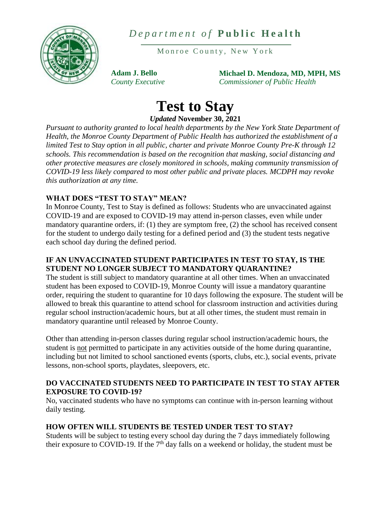

*D e p a r t m e n t o f* **P u b l i c H e a l t h**

Monroe County, New York

**Adam J. Bello** *County Executive* **Michael D. Mendoza, MD, MPH, MS** *Commissioner of Public Health*

# **Test to Stay**

*Updated* **November 30, 2021**

*Pursuant to authority granted to local health departments by the New York State Department of Health, the Monroe County Department of Public Health has authorized the establishment of a limited Test to Stay option in all public, charter and private Monroe County Pre-K through 12 schools. This recommendation is based on the recognition that masking, social distancing and other protective measures are closely monitored in schools, making community transmission of COVID-19 less likely compared to most other public and private places. MCDPH may revoke this authorization at any time.*

# **WHAT DOES "TEST TO STAY" MEAN?**

In Monroe County, Test to Stay is defined as follows: Students who are unvaccinated against COVID-19 and are exposed to COVID-19 may attend in-person classes, even while under mandatory quarantine orders, if: (1) they are symptom free, (2) the school has received consent for the student to undergo daily testing for a defined period and (3) the student tests negative each school day during the defined period.

## **IF AN UNVACCINATED STUDENT PARTICIPATES IN TEST TO STAY, IS THE STUDENT NO LONGER SUBJECT TO MANDATORY QUARANTINE?**

The student is still subject to mandatory quarantine at all other times. When an unvaccinated student has been exposed to COVID-19, Monroe County will issue a mandatory quarantine order, requiring the student to quarantine for 10 days following the exposure. The student will be allowed to break this quarantine to attend school for classroom instruction and activities during regular school instruction/academic hours, but at all other times, the student must remain in mandatory quarantine until released by Monroe County.

Other than attending in-person classes during regular school instruction/academic hours, the student is not permitted to participate in any activities outside of the home during quarantine, including but not limited to school sanctioned events (sports, clubs, etc.), social events, private lessons, non-school sports, playdates, sleepovers, etc.

## **DO VACCINATED STUDENTS NEED TO PARTICIPATE IN TEST TO STAY AFTER EXPOSURE TO COVID-19?**

No, vaccinated students who have no symptoms can continue with in-person learning without daily testing.

# **HOW OFTEN WILL STUDENTS BE TESTED UNDER TEST TO STAY?**

Students will be subject to testing every school day during the 7 days immediately following their exposure to COVID-19. If the 7<sup>th</sup> day falls on a weekend or holiday, the student must be